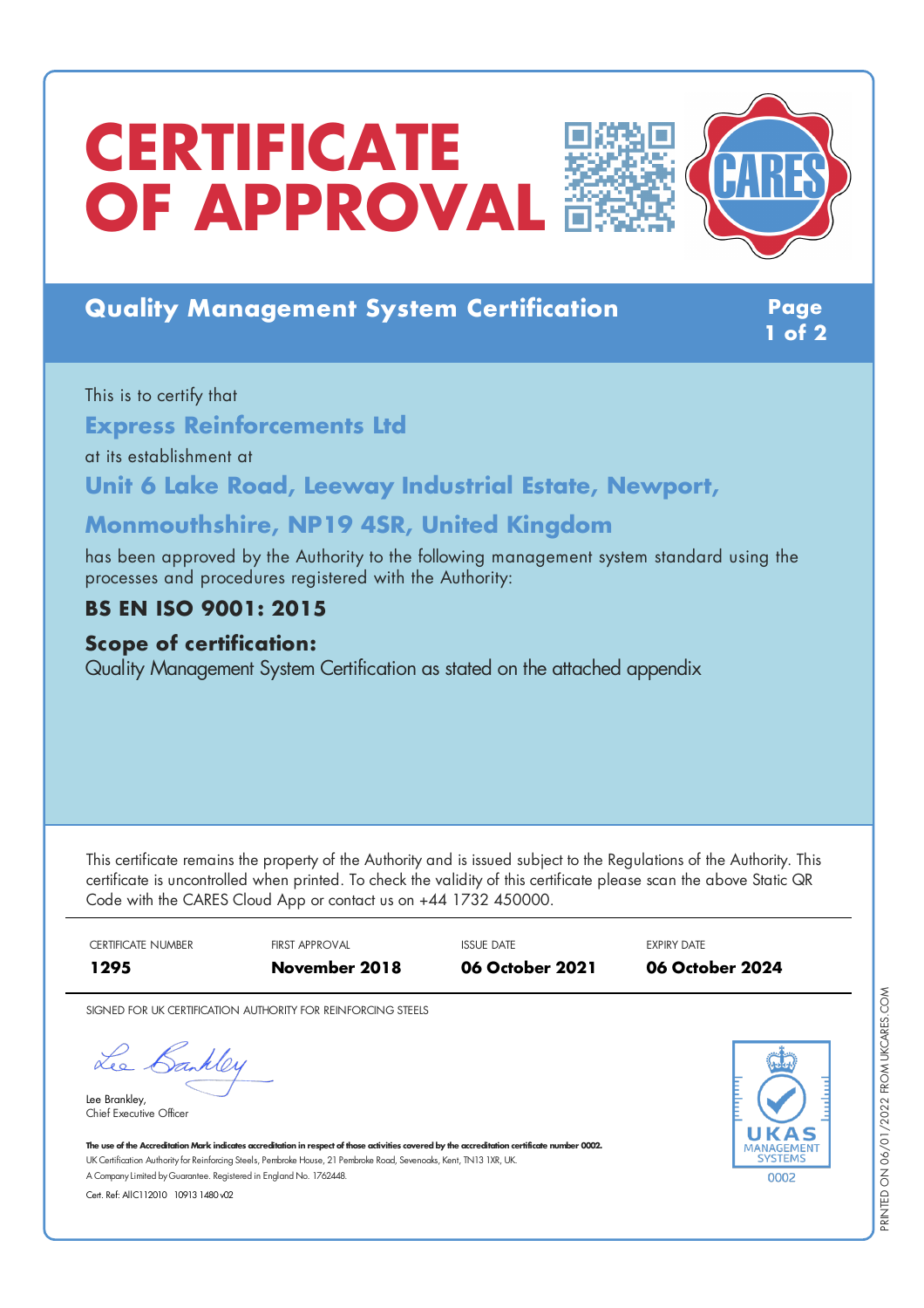# **CERTIFICATE OF APPROVAL**





## **Quality Management System Certification Page**

**1 of 2**

This is to certify that **Express Reinforcements Ltd** at its establishment at **Unit 6 Lake Road, Leeway Industrial Estate, Newport,**

## **Monmouthshire, NP19 4SR, United Kingdom**

has been approved by the Authority to the following management system standard using the processes and procedures registered with the Authority:

### **BS EN ISO 9001: 2015**

#### **Scope of certification:**

Quality Management System Certification as stated on the attached appendix

This certificate remains the property of the Authority and is issued subject to the Regulations of the Authority. This certificate is uncontrolled when printed. To check the validity of this certificate please scan the above Static QR Code with the CARES Cloud App or contact us on +44 1732 450000.



SIGNED FOR UK CERTIFICATION AUTHORITY FOR REINFORCING STEELS

Lee Bankley

Lee Brankley, Chief Executive Officer



The use of the Accreditation Mark indicates accreditation in respect of those activities covered by the accreditation certificate number 0002. UK Certification Authority for Reinforcing Steels, Pembroke House, 21 Pembroke Road, Sevenoaks, Kent, TN13 1XR, UK. A CompanyLimited byGuarantee. Registered in England No. 1762448.

Cert. Ref: AllC112010 10913 1480 v02